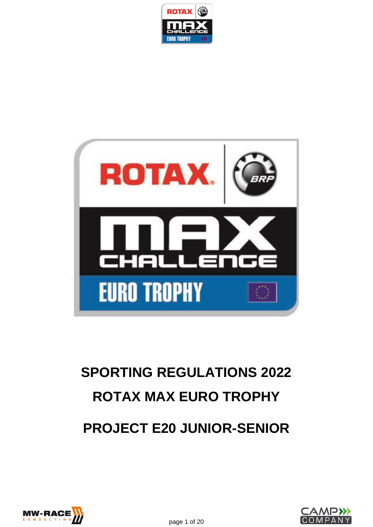



# **SPORTING REGULATIONS 2022 ROTAX MAX EURO TROPHY PROJECT E20 JUNIOR-SENIOR**



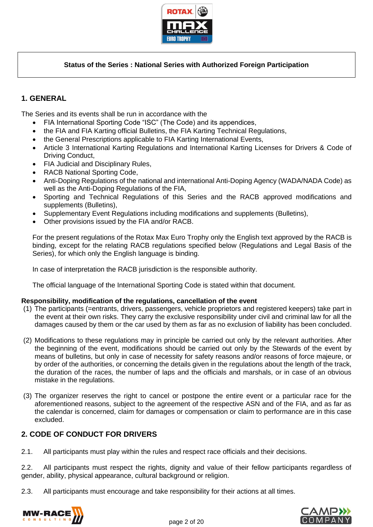

## **Status of the Series : National Series with Authorized Foreign Participation**

# **1. GENERAL**

The Series and its events shall be run in accordance with the

- FIA International Sporting Code "ISC" (The Code) and its appendices,
- the FIA and FIA Karting official Bulletins, the FIA Karting Technical Regulations,
- the General Prescriptions applicable to FIA Karting International Events,
- Article 3 International Karting Regulations and International Karting Licenses for Drivers & Code of Driving Conduct,
- FIA Judicial and Disciplinary Rules,
- RACB National Sporting Code,
- Anti-Doping Regulations of the national and international Anti-Doping Agency (WADA/NADA Code) as well as the Anti-Doping Regulations of the FIA,
- Sporting and Technical Regulations of this Series and the RACB approved modifications and supplements (Bulletins),
- Supplementary Event Regulations including modifications and supplements (Bulletins),
- Other provisions issued by the FIA and/or RACB.

For the present regulations of the Rotax Max Euro Trophy only the English text approved by the RACB is binding, except for the relating RACB regulations specified below (Regulations and Legal Basis of the Series), for which only the English language is binding.

In case of interpretation the RACB jurisdiction is the responsible authority.

The official language of the International Sporting Code is stated within that document.

#### **Responsibility, modification of the regulations, cancellation of the event**

- (1) The participants (=entrants, drivers, passengers, vehicle proprietors and registered keepers) take part in the event at their own risks. They carry the exclusive responsibility under civil and criminal law for all the damages caused by them or the car used by them as far as no exclusion of liability has been concluded.
- (2) Modifications to these regulations may in principle be carried out only by the relevant authorities. After the beginning of the event, modifications should be carried out only by the Stewards of the event by means of bulletins, but only in case of necessity for safety reasons and/or reasons of force majeure, or by order of the authorities, or concerning the details given in the regulations about the length of the track, the duration of the races, the number of laps and the officials and marshals, or in case of an obvious mistake in the regulations.
- (3) The organizer reserves the right to cancel or postpone the entire event or a particular race for the aforementioned reasons, subject to the agreement of the respective ASN and of the FIA, and as far as the calendar is concerned, claim for damages or compensation or claim to performance are in this case excluded.

# **2. CODE OF CONDUCT FOR DRIVERS**

2.1. All participants must play within the rules and respect race officials and their decisions.

2.2. All participants must respect the rights, dignity and value of their fellow participants regardless of gender, ability, physical appearance, cultural background or religion.

2.3. All participants must encourage and take responsibility for their actions at all times.



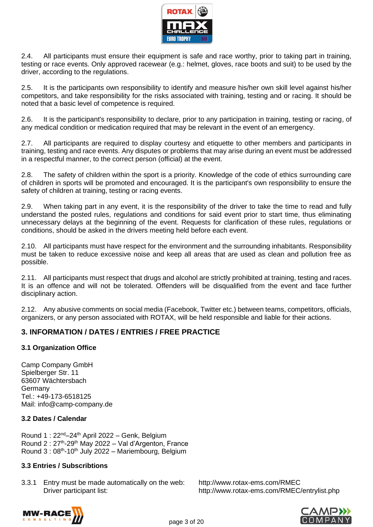

2.4. All participants must ensure their equipment is safe and race worthy, prior to taking part in training, testing or race events. Only approved racewear (e.g.: helmet, gloves, race boots and suit) to be used by the driver, according to the regulations.

2.5. It is the participants own responsibility to identify and measure his/her own skill level against his/her competitors, and take responsibility for the risks associated with training, testing and or racing. It should be noted that a basic level of competence is required.

2.6. It is the participant's responsibility to declare, prior to any participation in training, testing or racing, of any medical condition or medication required that may be relevant in the event of an emergency.

2.7. All participants are required to display courtesy and etiquette to other members and participants in training, testing and race events. Any disputes or problems that may arise during an event must be addressed in a respectful manner, to the correct person (official) at the event.

2.8. The safety of children within the sport is a priority. Knowledge of the code of ethics surrounding care of children in sports will be promoted and encouraged. It is the participant's own responsibility to ensure the safety of children at training, testing or racing events.

2.9. When taking part in any event, it is the responsibility of the driver to take the time to read and fully understand the posted rules, regulations and conditions for said event prior to start time, thus eliminating unnecessary delays at the beginning of the event. Requests for clarification of these rules, regulations or conditions, should be asked in the drivers meeting held before each event.

2.10. All participants must have respect for the environment and the surrounding inhabitants. Responsibility must be taken to reduce excessive noise and keep all areas that are used as clean and pollution free as possible.

2.11. All participants must respect that drugs and alcohol are strictly prohibited at training, testing and races. It is an offence and will not be tolerated. Offenders will be disqualified from the event and face further disciplinary action.

2.12. Any abusive comments on social media (Facebook, Twitter etc.) between teams, competitors, officials, organizers, or any person associated with ROTAX, will be held responsible and liable for their actions.

# **3. INFORMATION / DATES / ENTRIES / FREE PRACTICE**

#### **3.1 Organization Office**

Camp Company GmbH Spielberger Str. 11 63607 Wächtersbach Germany Tel.: +49-173-6518125 Mail: [info@camp-company.de](mailto:info@camp-company.de)

## **3.2 Dates / Calendar**

Round 1 :  $22^{nd} - 24^{th}$  April 2022 – Genk, Belgium Round 2 : 27<sup>th</sup>-29<sup>th</sup> May 2022 – Val d'Argenton, France Round 3: 08<sup>th</sup>-10<sup>th</sup> July 2022 - Mariembourg, Belgium

#### **3.3 Entries / Subscribtions**

3.3.1 Entry must be made automatically on the web: <http://www.rotax-ems.com/RMEC> Driver participant list: <http://www.rotax-ems.com/RMEC/entrylist.php>



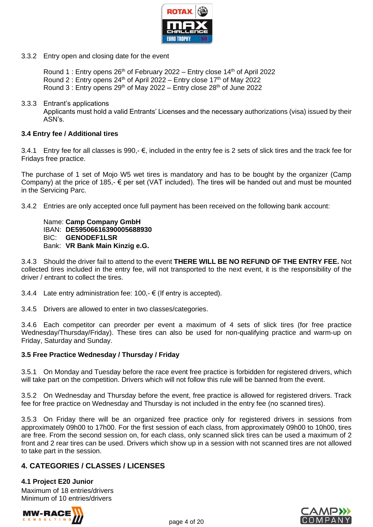

3.3.2 Entry open and closing date for the event

Round 1 : Entry opens  $26<sup>th</sup>$  of February 2022 – Entry close 14<sup>th</sup> of April 2022 Round 2 : Entry opens  $24<sup>th</sup>$  of April 2022 – Entry close 17<sup>th</sup> of May 2022 Round 3 : Entry opens  $29<sup>th</sup>$  of May 2022 – Entry close  $28<sup>th</sup>$  of June 2022

3.3.3 Entrant's applications

Applicants must hold a valid Entrants' Licenses and the necessary authorizations (visa) issued by their ASN's.

#### **3.4 Entry fee / Additional tires**

3.4.1 Entry fee for all classes is 990, $-$  €, included in the entry fee is 2 sets of slick tires and the track fee for Fridays free practice.

The purchase of 1 set of Mojo W5 wet tires is mandatory and has to be bought by the organizer (Camp Company) at the price of 185,-  $\epsilon$  per set (VAT included). The tires will be handed out and must be mounted in the Servicing Parc.

3.4.2 Entries are only accepted once full payment has been received on the following bank account:

Name: **Camp Company GmbH** IBAN: **DE59506616390005688930** BIC: **GENODEF1LSR** Bank: **VR Bank Main Kinzig e.G.**

3.4.3 Should the driver fail to attend to the event **THERE WILL BE NO REFUND OF THE ENTRY FEE.** Not collected tires included in the entry fee, will not transported to the next event, it is the responsibility of the driver / entrant to collect the tires.

3.4.4 Late entry administration fee:  $100.-\epsilon$  (If entry is accepted).

3.4.5 Drivers are allowed to enter in two classes/categories.

3.4.6 Each competitor can preorder per event a maximum of 4 sets of slick tires (for free practice Wednesday/Thursday/Friday). These tires can also be used for non-qualifying practice and warm-up on Friday, Saturday and Sunday.

#### **3.5 Free Practice Wednesday / Thursday / Friday**

3.5.1 On Monday and Tuesday before the race event free practice is forbidden for registered drivers, which will take part on the competition. Drivers which will not follow this rule will be banned from the event.

3.5.2 On Wednesday and Thursday before the event, free practice is allowed for registered drivers. Track fee for free practice on Wednesday and Thursday is not included in the entry fee (no scanned tires).

3.5.3 On Friday there will be an organized free practice only for registered drivers in sessions from approximately 09h00 to 17h00. For the first session of each class, from approximately 09h00 to 10h00, tires are free. From the second session on, for each class, only scanned slick tires can be used a maximum of 2 front and 2 rear tires can be used. Drivers which show up in a session with not scanned tires are not allowed to take part in the session.

# **4. CATEGORIES / CLASSES / LICENSES**

#### **4.1 Project E20 Junior**

Maximum of 18 entries/drivers Minimum of 10 entries/drivers



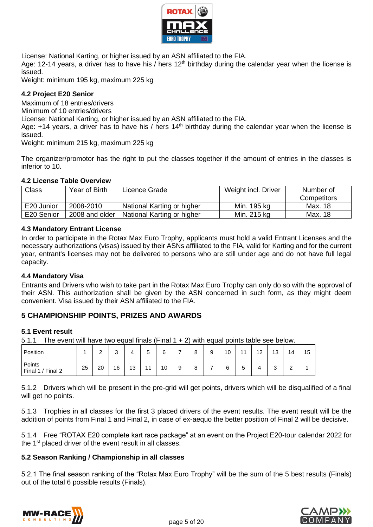

License: National Karting, or higher issued by an ASN affiliated to the FIA.

Age: 12-14 years, a driver has to have his / hers  $12<sup>th</sup>$  birthday during the calendar year when the license is issued.

Weight: minimum 195 kg, maximum 225 kg

#### **4.2 Project E20 Senior**

Maximum of 18 entries/drivers

Minimum of 10 entries/drivers

License: National Karting, or higher issued by an ASN affiliated to the FIA.

Age:  $+14$  years, a driver has to have his / hers  $14<sup>th</sup>$  birthday during the calendar year when the license is issued.

Weight: minimum 215 kg, maximum 225 kg

The organizer/promotor has the right to put the classes together if the amount of entries in the classes is inferior to 10.

#### **4.2 License Table Overview**

| <b>Class</b> | Year of Birth  | Licence Grade              | Weight incl. Driver | Number of          |
|--------------|----------------|----------------------------|---------------------|--------------------|
|              |                |                            |                     | <b>Competitors</b> |
| E20 Junior   | 2008-2010      | National Karting or higher | Min. 195 kg         | Max. 18            |
| E20 Senior   | 2008 and older | National Karting or higher | Min. 215 kg         | Max. 18            |

#### **4.3 Mandatory Entrant License**

In order to participate in the Rotax Max Euro Trophy, applicants must hold a valid Entrant Licenses and the necessary authorizations (visas) issued by their ASNs affiliated to the FIA, valid for Karting and for the current year, entrant's licenses may not be delivered to persons who are still under age and do not have full legal capacity.

#### **4.4 Mandatory Visa**

Entrants and Drivers who wish to take part in the Rotax Max Euro Trophy can only do so with the approval of their ASN. This authorization shall be given by the ASN concerned in such form, as they might deem convenient. Visa issued by their ASN affiliated to the FIA.

## **5 CHAMPIONSHIP POINTS, PRIZES AND AWARDS**

#### **5.1 Event result**

5.1.1 The event will have two equal finals (Final  $1 + 2$ ) with equal points table see below.

| Position                       |    | $\sim$<br>- | ⌒<br>u |    | -<br>∽<br>ັ | 6  | - | ິ<br>O | ۵<br>ະ | 10 | 11<br>. .   | 12 | 12<br>ں ا   | 14     | 15 |
|--------------------------------|----|-------------|--------|----|-------------|----|---|--------|--------|----|-------------|----|-------------|--------|----|
| Points<br>/ Final 2<br>Final 1 | 25 | 20          | 16     | 13 | 4.4         | 10 | 9 | o<br>o | -      | 6  | -<br>∽<br>ບ |    | $\sim$<br>ບ | ∽<br>- |    |

5.1.2 Drivers which will be present in the pre-grid will get points, drivers which will be disqualified of a final will get no points.

5.1.3 Trophies in all classes for the first 3 placed drivers of the event results. The event result will be the addition of points from Final 1 and Final 2, in case of ex-aequo the better position of Final 2 will be decisive.

5.1.4 Free "ROTAX E20 complete kart race package" at an event on the Project E20-tour calendar 2022 for the 1<sup>st</sup> placed driver of the event result in all classes.

#### **5.2 Season Ranking / Championship in all classes**

5.2.1 The final season ranking of the "Rotax Max Euro Trophy" will be the sum of the 5 best results (Finals) out of the total 6 possible results (Finals).



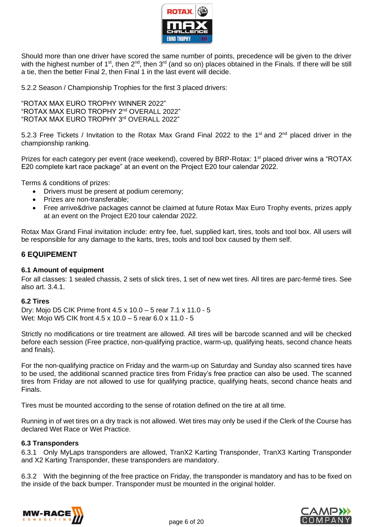

Should more than one driver have scored the same number of points, precedence will be given to the driver with the highest number of 1<sup>st</sup>, then 2<sup>nd</sup>, then 3<sup>rd</sup> (and so on) places obtained in the Finals. If there will be still a tie, then the better Final 2, then Final 1 in the last event will decide.

5.2.2 Season / Championship Trophies for the first 3 placed drivers:

"ROTAX MAX EURO TROPHY WINNER 2022" "ROTAX MAX EURO TROPHY 2nd OVERALL 2022" "ROTAX MAX EURO TROPHY 3rd OVERALL 2022"

5.2.3 Free Tickets / Invitation to the Rotax Max Grand Final 2022 to the 1<sup>st</sup> and 2<sup>nd</sup> placed driver in the championship ranking.

Prizes for each category per event (race weekend), covered by BRP-Rotax: 1<sup>st</sup> placed driver wins a "ROTAX E20 complete kart race package" at an event on the Project E20 tour calendar 2022.

Terms & conditions of prizes:

- Drivers must be present at podium ceremony;
- Prizes are non-transferable:
- Free arrive&drive packages cannot be claimed at future Rotax Max Euro Trophy events, prizes apply at an event on the Project E20 tour calendar 2022.

Rotax Max Grand Final invitation include: entry fee, fuel, supplied kart, tires, tools and tool box. All users will be responsible for any damage to the karts, tires, tools and tool box caused by them self.

#### **6 EQUIPEMENT**

#### **6.1 Amount of equipment**

For all classes: 1 sealed chassis, 2 sets of slick tires, 1 set of new wet tires. All tires are parc-fermé tires. See also art. 3.4.1.

#### **6.2 Tires**

Dry: Mojo D5 CIK Prime front 4.5 x 10.0 – 5 rear 7.1 x 11.0 - 5 Wet: Mojo W5 CIK front 4.5 x 10.0 – 5 rear 6.0 x 11.0 - 5

Strictly no modifications or tire treatment are allowed. All tires will be barcode scanned and will be checked before each session (Free practice, non-qualifying practice, warm-up, qualifying heats, second chance heats and finals).

For the non-qualifying practice on Friday and the warm-up on Saturday and Sunday also scanned tires have to be used, the additional scanned practice tires from Friday's free practice can also be used. The scanned tires from Friday are not allowed to use for qualifying practice, qualifying heats, second chance heats and Finals.

Tires must be mounted according to the sense of rotation defined on the tire at all time.

Running in of wet tires on a dry track is not allowed. Wet tires may only be used if the Clerk of the Course has declared Wet Race or Wet Practice.

## **6.3 Transponders**

6.3.1 Only MyLaps transponders are allowed, TranX2 Karting Transponder, TranX3 Karting Transponder and X2 Karting Transponder, these transponders are mandatory.

6.3.2 With the beginning of the free practice on Friday, the transponder is mandatory and has to be fixed on the inside of the back bumper. Transponder must be mounted in the original holder.



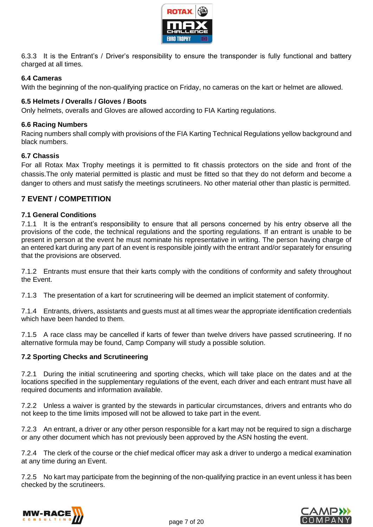

6.3.3 It is the Entrant's / Driver's responsibility to ensure the transponder is fully functional and battery charged at all times.

#### **6.4 Cameras**

With the beginning of the non-qualifying practice on Friday, no cameras on the kart or helmet are allowed.

#### **6.5 Helmets / Overalls / Gloves / Boots**

Only helmets, overalls and Gloves are allowed according to FIA Karting regulations.

#### **6.6 Racing Numbers**

Racing numbers shall comply with provisions of the FIA Karting Technical Regulations yellow background and black numbers.

#### **6.7 Chassis**

For all Rotax Max Trophy meetings it is permitted to fit chassis protectors on the side and front of the chassis.The only material permitted is plastic and must be fitted so that they do not deform and become a danger to others and must satisfy the meetings scrutineers. No other material other than plastic is permitted.

## **7 EVENT / COMPETITION**

#### **7.1 General Conditions**

7.1.1 It is the entrant's responsibility to ensure that all persons concerned by his entry observe all the provisions of the code, the technical regulations and the sporting regulations. If an entrant is unable to be present in person at the event he must nominate his representative in writing. The person having charge of an entered kart during any part of an event is responsible jointly with the entrant and/or separately for ensuring that the provisions are observed.

7.1.2 Entrants must ensure that their karts comply with the conditions of conformity and safety throughout the Event.

7.1.3 The presentation of a kart for scrutineering will be deemed an implicit statement of conformity.

7.1.4 Entrants, drivers, assistants and guests must at all times wear the appropriate identification credentials which have been handed to them.

7.1.5 A race class may be cancelled if karts of fewer than twelve drivers have passed scrutineering. If no alternative formula may be found, Camp Company will study a possible solution.

#### **7.2 Sporting Checks and Scrutineering**

7.2.1 During the initial scrutineering and sporting checks, which will take place on the dates and at the locations specified in the supplementary regulations of the event, each driver and each entrant must have all required documents and information available.

7.2.2 Unless a waiver is granted by the stewards in particular circumstances, drivers and entrants who do not keep to the time limits imposed will not be allowed to take part in the event.

7.2.3 An entrant, a driver or any other person responsible for a kart may not be required to sign a discharge or any other document which has not previously been approved by the ASN hosting the event.

7.2.4 The clerk of the course or the chief medical officer may ask a driver to undergo a medical examination at any time during an Event.

7.2.5 No kart may participate from the beginning of the non-qualifying practice in an event unless it has been checked by the scrutineers.



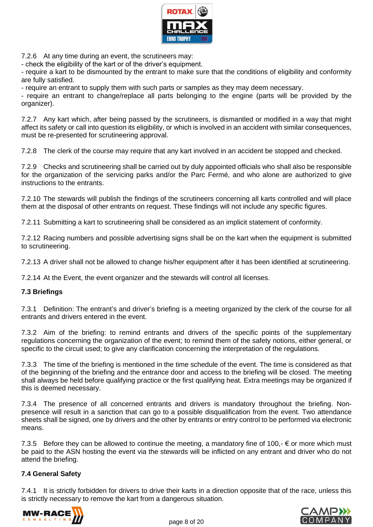

7.2.6 At any time during an event, the scrutineers may:

- check the eligibility of the kart or of the driver's equipment.

- require a kart to be dismounted by the entrant to make sure that the conditions of eligibility and conformity are fully satisfied.

- require an entrant to supply them with such parts or samples as they may deem necessary.

- require an entrant to change/replace all parts belonging to the engine (parts will be provided by the organizer).

7.2.7 Any kart which, after being passed by the scrutineers, is dismantled or modified in a way that might affect its safety or call into question its eligibility, or which is involved in an accident with similar consequences, must be re-presented for scrutineering approval.

7.2.8 The clerk of the course may require that any kart involved in an accident be stopped and checked.

7.2.9 Checks and scrutineering shall be carried out by duly appointed officials who shall also be responsible for the organization of the servicing parks and/or the Parc Fermé, and who alone are authorized to give instructions to the entrants.

7.2.10 The stewards will publish the findings of the scrutineers concerning all karts controlled and will place them at the disposal of other entrants on request. These findings will not include any specific figures.

7.2.11 Submitting a kart to scrutineering shall be considered as an implicit statement of conformity.

7.2.12 Racing numbers and possible advertising signs shall be on the kart when the equipment is submitted to scrutineering.

7.2.13 A driver shall not be allowed to change his/her equipment after it has been identified at scrutineering.

7.2.14 At the Event, the event organizer and the stewards will control all licenses.

#### **7.3 Briefings**

7.3.1 Definition: The entrant's and driver's briefing is a meeting organized by the clerk of the course for all entrants and drivers entered in the event.

7.3.2 Aim of the briefing: to remind entrants and drivers of the specific points of the supplementary regulations concerning the organization of the event; to remind them of the safety notions, either general, or specific to the circuit used; to give any clarification concerning the interpretation of the regulations.

7.3.3 The time of the briefing is mentioned in the time schedule of the event. The time is considered as that of the beginning of the briefing and the entrance door and access to the briefing will be closed. The meeting shall always be held before qualifying practice or the first qualifying heat. Extra meetings may be organized if this is deemed necessary.

7.3.4 The presence of all concerned entrants and drivers is mandatory throughout the briefing. Nonpresence will result in a sanction that can go to a possible disqualification from the event. Two attendance sheets shall be signed, one by drivers and the other by entrants or entry control to be performed via electronic means.

7.3.5 Before they can be allowed to continue the meeting, a mandatory fine of 100,-  $\epsilon$  or more which must be paid to the ASN hosting the event via the stewards will be inflicted on any entrant and driver who do not attend the briefing.

#### **7.4 General Safety**

7.4.1 It is strictly forbidden for drivers to drive their karts in a direction opposite that of the race, unless this is strictly necessary to remove the kart from a dangerous situation.



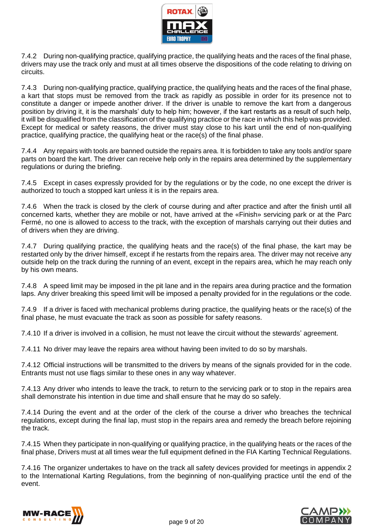

7.4.2 During non-qualifying practice, qualifying practice, the qualifying heats and the races of the final phase, drivers may use the track only and must at all times observe the dispositions of the code relating to driving on circuits.

7.4.3 During non-qualifying practice, qualifying practice, the qualifying heats and the races of the final phase, a kart that stops must be removed from the track as rapidly as possible in order for its presence not to constitute a danger or impede another driver. If the driver is unable to remove the kart from a dangerous position by driving it, it is the marshals' duty to help him; however, if the kart restarts as a result of such help, it will be disqualified from the classification of the qualifying practice or the race in which this help was provided. Except for medical or safety reasons, the driver must stay close to his kart until the end of non-qualifying practice, qualifying practice, the qualifying heat or the race(s) of the final phase.

7.4.4 Any repairs with tools are banned outside the repairs area. It is forbidden to take any tools and/or spare parts on board the kart. The driver can receive help only in the repairs area determined by the supplementary regulations or during the briefing.

7.4.5 Except in cases expressly provided for by the regulations or by the code, no one except the driver is authorized to touch a stopped kart unless it is in the repairs area.

7.4.6 When the track is closed by the clerk of course during and after practice and after the finish until all concerned karts, whether they are mobile or not, have arrived at the «Finish» servicing park or at the Parc Fermé, no one is allowed to access to the track, with the exception of marshals carrying out their duties and of drivers when they are driving.

7.4.7 During qualifying practice, the qualifying heats and the race(s) of the final phase, the kart may be restarted only by the driver himself, except if he restarts from the repairs area. The driver may not receive any outside help on the track during the running of an event, except in the repairs area, which he may reach only by his own means.

7.4.8 A speed limit may be imposed in the pit lane and in the repairs area during practice and the formation laps. Any driver breaking this speed limit will be imposed a penalty provided for in the regulations or the code.

7.4.9 If a driver is faced with mechanical problems during practice, the qualifying heats or the race(s) of the final phase, he must evacuate the track as soon as possible for safety reasons.

7.4.10 If a driver is involved in a collision, he must not leave the circuit without the stewards' agreement.

7.4.11 No driver may leave the repairs area without having been invited to do so by marshals.

7.4.12 Official instructions will be transmitted to the drivers by means of the signals provided for in the code. Entrants must not use flags similar to these ones in any way whatever.

7.4.13 Any driver who intends to leave the track, to return to the servicing park or to stop in the repairs area shall demonstrate his intention in due time and shall ensure that he may do so safely.

7.4.14 During the event and at the order of the clerk of the course a driver who breaches the technical regulations, except during the final lap, must stop in the repairs area and remedy the breach before rejoining the track.

7.4.15 When they participate in non-qualifying or qualifying practice, in the qualifying heats or the races of the final phase, Drivers must at all times wear the full equipment defined in the FIA Karting Technical Regulations.

7.4.16 The organizer undertakes to have on the track all safety devices provided for meetings in appendix 2 to the International Karting Regulations, from the beginning of non-qualifying practice until the end of the event.



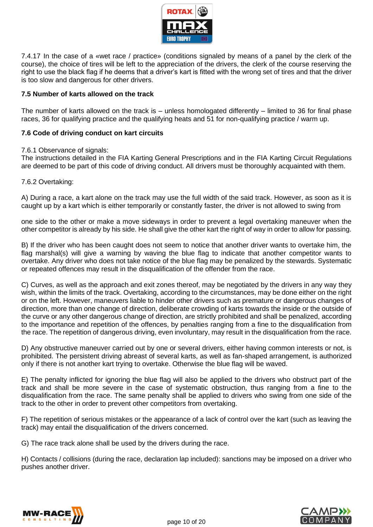

7.4.17 In the case of a «wet race / practice» (conditions signaled by means of a panel by the clerk of the course), the choice of tires will be left to the appreciation of the drivers, the clerk of the course reserving the right to use the black flag if he deems that a driver's kart is fitted with the wrong set of tires and that the driver is too slow and dangerous for other drivers.

#### **7.5 Number of karts allowed on the track**

The number of karts allowed on the track is – unless homologated differently – limited to 36 for final phase races, 36 for qualifying practice and the qualifying heats and 51 for non-qualifying practice / warm up.

#### **7.6 Code of driving conduct on kart circuits**

#### 7.6.1 Observance of signals:

The instructions detailed in the FIA Karting General Prescriptions and in the FIA Karting Circuit Regulations are deemed to be part of this code of driving conduct. All drivers must be thoroughly acquainted with them.

#### 7.6.2 Overtaking:

A) During a race, a kart alone on the track may use the full width of the said track. However, as soon as it is caught up by a kart which is either temporarily or constantly faster, the driver is not allowed to swing from

one side to the other or make a move sideways in order to prevent a legal overtaking maneuver when the other competitor is already by his side. He shall give the other kart the right of way in order to allow for passing.

B) If the driver who has been caught does not seem to notice that another driver wants to overtake him, the flag marshal(s) will give a warning by waving the blue flag to indicate that another competitor wants to overtake. Any driver who does not take notice of the blue flag may be penalized by the stewards. Systematic or repeated offences may result in the disqualification of the offender from the race.

C) Curves, as well as the approach and exit zones thereof, may be negotiated by the drivers in any way they wish, within the limits of the track. Overtaking, according to the circumstances, may be done either on the right or on the left. However, maneuvers liable to hinder other drivers such as premature or dangerous changes of direction, more than one change of direction, deliberate crowding of karts towards the inside or the outside of the curve or any other dangerous change of direction, are strictly prohibited and shall be penalized, according to the importance and repetition of the offences, by penalties ranging from a fine to the disqualification from the race. The repetition of dangerous driving, even involuntary, may result in the disqualification from the race.

D) Any obstructive maneuver carried out by one or several drivers, either having common interests or not, is prohibited. The persistent driving abreast of several karts, as well as fan-shaped arrangement, is authorized only if there is not another kart trying to overtake. Otherwise the blue flag will be waved.

E) The penalty inflicted for ignoring the blue flag will also be applied to the drivers who obstruct part of the track and shall be more severe in the case of systematic obstruction, thus ranging from a fine to the disqualification from the race. The same penalty shall be applied to drivers who swing from one side of the track to the other in order to prevent other competitors from overtaking.

F) The repetition of serious mistakes or the appearance of a lack of control over the kart (such as leaving the track) may entail the disqualification of the drivers concerned.

G) The race track alone shall be used by the drivers during the race.

H) Contacts / collisions (during the race, declaration lap included): sanctions may be imposed on a driver who pushes another driver.



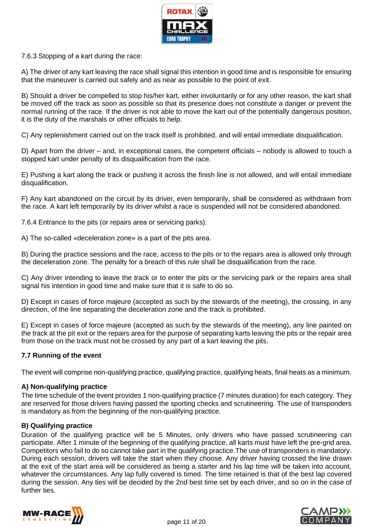

7.6.3 Stopping of a kart during the race:

A) The driver of any kart leaving the race shall signal this intention in good time and is responsible for ensuring that the maneuver is carried out safely and as near as possible to the point of exit.

B) Should a driver be compelled to stop his/her kart, either involuntarily or for any other reason, the kart shall be moved off the track as soon as possible so that its presence does not constitute a danger or prevent the normal running of the race. If the driver is not able to move the kart out of the potentially dangerous position, it is the duty of the marshals or other officials to help.

C) Any replenishment carried out on the track itself is prohibited, and will entail immediate disqualification.

D) Apart from the driver – and, in exceptional cases, the competent officials – nobody is allowed to touch a stopped kart under penalty of its disqualification from the race.

E) Pushing a kart along the track or pushing it across the finish line is not allowed, and will entail immediate disqualification.

F) Any kart abandoned on the circuit by its driver, even temporarily, shall be considered as withdrawn from the race. A kart left temporarily by its driver whilst a race is suspended will not be considered abandoned.

7.6.4 Entrance to the pits (or repairs area or servicing parks):

A) The so-called «deceleration zone» is a part of the pits area.

B) During the practice sessions and the race, access to the pits or to the repairs area is allowed only through the deceleration zone. The penalty for a breach of this rule shall be disqualification from the race.

C) Any driver intending to leave the track or to enter the pits or the servicing park or the repairs area shall signal his intention in good time and make sure that it is safe to do so.

D) Except in cases of force majeure (accepted as such by the stewards of the meeting), the crossing, in any direction, of the line separating the deceleration zone and the track is prohibited.

E) Except in cases of force majeure (accepted as such by the stewards of the meeting), any line painted on the track at the pit exit or the repairs area for the purpose of separating karts leaving the pits or the repair area from those on the track must not be crossed by any part of a kart leaving the pits.

#### **7.7 Running of the event**

The event will comprise non-qualifying practice, qualifying practice, qualifying heats, final heats as a minimum.

#### **A) Non-qualifying practice**

The time schedule of the event provides 1 non-qualifying practice (7 minutes duration) for each category. They are reserved for those drivers having passed the sporting checks and scrutineering. The use of transponders is mandatory as from the beginning of the non-qualifying practice.

#### **B) Qualifying practice**

Duration of the qualifying practice will be 5 Minutes, only drivers who have passed scrutineering can participate. After 1 minute of the beginning of the qualifying practice, all karts must have left the pre-grid area. Competitors who fail to do so cannot take part in the qualifying practice.The use of transponders is mandatory. During each session, drivers will take the start when they choose. Any driver having crossed the line drawn at the exit of the start area will be considered as being a starter and his lap time will be taken into account, whatever the circumstances. Any lap fully covered is timed. The time retained is that of the best lap covered during the session. Any ties will be decided by the 2nd best time set by each driver, and so on in the case of further ties.



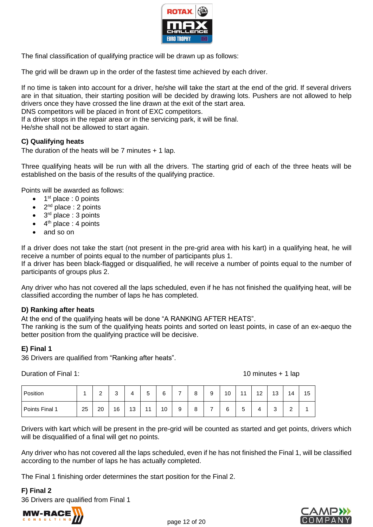

The final classification of qualifying practice will be drawn up as follows:

The grid will be drawn up in the order of the fastest time achieved by each driver.

If no time is taken into account for a driver, he/she will take the start at the end of the grid. If several drivers are in that situation, their starting position will be decided by drawing lots. Pushers are not allowed to help drivers once they have crossed the line drawn at the exit of the start area.

DNS competitors will be placed in front of EXC competitors.

If a driver stops in the repair area or in the servicing park, it will be final.

He/she shall not be allowed to start again.

#### **C) Qualifying heats**

The duration of the heats will be  $7$  minutes  $+1$  lap.

Three qualifying heats will be run with all the drivers. The starting grid of each of the three heats will be established on the basis of the results of the qualifying practice.

Points will be awarded as follows:

- $\bullet$  1<sup>st</sup> place : 0 points
- $2<sup>nd</sup>$  place : 2 points
- $\bullet$  3<sup>rd</sup> place : 3 points
- $\bullet$  4<sup>th</sup> place : 4 points
- and so on

If a driver does not take the start (not present in the pre-grid area with his kart) in a qualifying heat, he will receive a number of points equal to the number of participants plus 1.

If a driver has been black-flagged or disqualified, he will receive a number of points equal to the number of participants of groups plus 2.

Any driver who has not covered all the laps scheduled, even if he has not finished the qualifying heat, will be classified according the number of laps he has completed.

#### **D) Ranking after heats**

At the end of the qualifying heats will be done "A RANKING AFTER HEATS".

The ranking is the sum of the qualifying heats points and sorted on least points, in case of an ex-aequo the better position from the qualifying practice will be decisive.

#### **E) Final 1**

36 Drivers are qualified from "Ranking after heats".

Duration of Final 1: 10 minutes + 1 lap

| Position       |    | $\sim$<br>▃ | $\sim$<br>ບ | 4  | -<br>ᄃ<br>ັ | 6  | - | 8            | a<br>ັ | 10 | 11          | 12 | 13          | 14          | 15 |
|----------------|----|-------------|-------------|----|-------------|----|---|--------------|--------|----|-------------|----|-------------|-------------|----|
| Points Final 1 | 25 | 20          | 16          | 13 | 44          | 10 | 9 | $\circ$<br>o | -      | 6  | -<br>∽<br>ັ | Δ  | $\sim$<br>ບ | $\sim$<br>_ |    |

Drivers with kart which will be present in the pre-grid will be counted as started and get points, drivers which will be disqualified of a final will get no points.

Any driver who has not covered all the laps scheduled, even if he has not finished the Final 1, will be classified according to the number of laps he has actually completed.

The Final 1 finishing order determines the start position for the Final 2.

**F) Final 2**

36 Drivers are qualified from Final 1



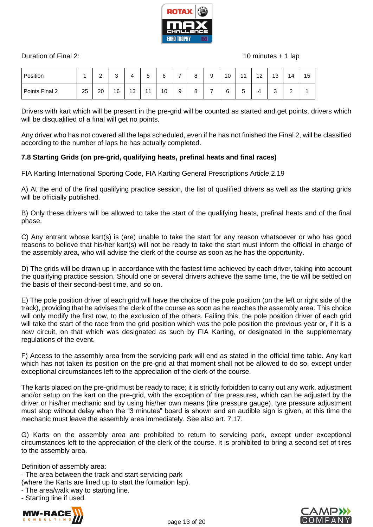

Duration of Final 2: 10 minutes + 1 lap

| Position       |    | $\sim$<br><u>.</u> | $\sim$<br>ت | 4  | -<br>∽<br>ັ | 6  |   | 8 | 9 | 10 | 11     | 12<br>$\epsilon$ | 13          | 14          | 15 |
|----------------|----|--------------------|-------------|----|-------------|----|---|---|---|----|--------|------------------|-------------|-------------|----|
| Points Final 2 | 25 | 20                 | 16          | 13 | 11          | 10 | 9 | 8 | - | 6  | -<br>5 | д                | $\sim$<br>ບ | $\sim$<br>_ |    |

Drivers with kart which will be present in the pre-grid will be counted as started and get points, drivers which will be disqualified of a final will get no points.

Any driver who has not covered all the laps scheduled, even if he has not finished the Final 2, will be classified according to the number of laps he has actually completed.

#### **7.8 Starting Grids (on pre-grid, qualifying heats, prefinal heats and final races)**

FIA Karting International Sporting Code, FIA Karting General Prescriptions Article 2.19

A) At the end of the final qualifying practice session, the list of qualified drivers as well as the starting grids will be officially published.

B) Only these drivers will be allowed to take the start of the qualifying heats, prefinal heats and of the final phase.

C) Any entrant whose kart(s) is (are) unable to take the start for any reason whatsoever or who has good reasons to believe that his/her kart(s) will not be ready to take the start must inform the official in charge of the assembly area, who will advise the clerk of the course as soon as he has the opportunity.

D) The grids will be drawn up in accordance with the fastest time achieved by each driver, taking into account the qualifying practice session. Should one or several drivers achieve the same time, the tie will be settled on the basis of their second-best time, and so on.

E) The pole position driver of each grid will have the choice of the pole position (on the left or right side of the track), providing that he advises the clerk of the course as soon as he reaches the assembly area. This choice will only modify the first row, to the exclusion of the others. Failing this, the pole position driver of each grid will take the start of the race from the grid position which was the pole position the previous year or, if it is a new circuit, on that which was designated as such by FIA Karting, or designated in the supplementary regulations of the event.

F) Access to the assembly area from the servicing park will end as stated in the official time table. Any kart which has not taken its position on the pre-grid at that moment shall not be allowed to do so, except under exceptional circumstances left to the appreciation of the clerk of the course.

The karts placed on the pre-grid must be ready to race; it is strictly forbidden to carry out any work, adjustment and/or setup on the kart on the pre-grid, with the exception of tire pressures, which can be adjusted by the driver or his/her mechanic and by using his/her own means (tire pressure gauge), tyre pressure adjustment must stop without delay when the "3 minutes" board is shown and an audible sign is given, at this time the mechanic must leave the assembly area immediately. See also art. 7.17.

G) Karts on the assembly area are prohibited to return to servicing park, except under exceptional circumstances left to the appreciation of the clerk of the course. It is prohibited to bring a second set of tires to the assembly area.

Definition of assembly area:

- The area between the track and start servicing park

(where the Karts are lined up to start the formation lap).

- The area/walk way to starting line.

- Starting line if used.



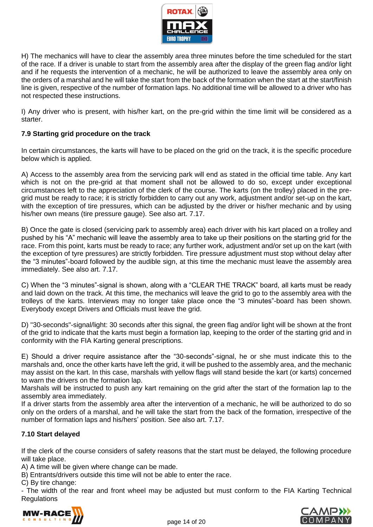

H) The mechanics will have to clear the assembly area three minutes before the time scheduled for the start of the race. If a driver is unable to start from the assembly area after the display of the green flag and/or light and if he requests the intervention of a mechanic, he will be authorized to leave the assembly area only on the orders of a marshal and he will take the start from the back of the formation when the start at the start/finish line is given, respective of the number of formation laps. No additional time will be allowed to a driver who has not respected these instructions.

I) Any driver who is present, with his/her kart, on the pre-grid within the time limit will be considered as a starter.

## **7.9 Starting grid procedure on the track**

In certain circumstances, the karts will have to be placed on the grid on the track, it is the specific procedure below which is applied.

A) Access to the assembly area from the servicing park will end as stated in the official time table. Any kart which is not on the pre-grid at that moment shall not be allowed to do so, except under exceptional circumstances left to the appreciation of the clerk of the course. The karts (on the trolley) placed in the pregrid must be ready to race; it is strictly forbidden to carry out any work, adjustment and/or set-up on the kart, with the exception of tire pressures, which can be adjusted by the driver or his/her mechanic and by using his/her own means (tire pressure gauge). See also art. 7.17.

B) Once the gate is closed (servicing park to assembly area) each driver with his kart placed on a trolley and pushed by his "A" mechanic will leave the assembly area to take up their positions on the starting grid for the race. From this point, karts must be ready to race; any further work, adjustment and/or set up on the kart (with the exception of tyre pressures) are strictly forbidden. Tire pressure adjustment must stop without delay after the "3 minutes"-board followed by the audible sign, at this time the mechanic must leave the assembly area immediately. See also art. 7.17.

C) When the "3 minutes"-signal is shown, along with a "CLEAR THE TRACK" board, all karts must be ready and laid down on the track. At this time, the mechanics will leave the grid to go to the assembly area with the trolleys of the karts. Interviews may no longer take place once the "3 minutes"-board has been shown. Everybody except Drivers and Officials must leave the grid.

D) "30-seconds"-signal/light: 30 seconds after this signal, the green flag and/or light will be shown at the front of the grid to indicate that the karts must begin a formation lap, keeping to the order of the starting grid and in conformity with the FIA Karting general prescriptions.

E) Should a driver require assistance after the "30-seconds"-signal, he or she must indicate this to the marshals and, once the other karts have left the grid, it will be pushed to the assembly area, and the mechanic may assist on the kart. In this case, marshals with yellow flags will stand beside the kart (or karts) concerned to warn the drivers on the formation lap.

Marshals will be instructed to push any kart remaining on the grid after the start of the formation lap to the assembly area immediately.

If a driver starts from the assembly area after the intervention of a mechanic, he will be authorized to do so only on the orders of a marshal, and he will take the start from the back of the formation, irrespective of the number of formation laps and his/hers' position. See also art. 7.17.

## **7.10 Start delayed**

If the clerk of the course considers of safety reasons that the start must be delayed, the following procedure will take place.

A) A time will be given where change can be made.

B) Entrants/drivers outside this time will not be able to enter the race.

C) By tire change:

- The width of the rear and front wheel may be adjusted but must conform to the FIA Karting Technical Regulations



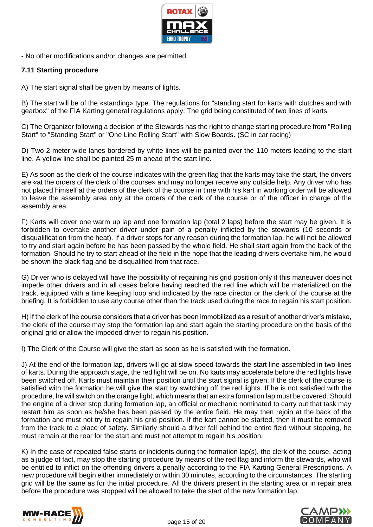

- No other modifications and/or changes are permitted.

#### **7.11 Starting procedure**

A) The start signal shall be given by means of lights.

B) The start will be of the «standing» type. The regulations for "standing start for karts with clutches and with gearbox" of the FIA Karting general regulations apply. The grid being constituted of two lines of karts.

C) The Organizer following a decision of the Stewards has the right to change starting procedure from "Rolling Start" to "Standing Start" or "One Line Rolling Start" with Slow Boards. (SC in car racing)

D) Two 2-meter wide lanes bordered by white lines will be painted over the 110 meters leading to the start line. A yellow line shall be painted 25 m ahead of the start line.

E) As soon as the clerk of the course indicates with the green flag that the karts may take the start, the drivers are «at the orders of the clerk of the course» and may no longer receive any outside help. Any driver who has not placed himself at the orders of the clerk of the course in time with his kart in working order will be allowed to leave the assembly area only at the orders of the clerk of the course or of the officer in charge of the assembly area.

F) Karts will cover one warm up lap and one formation lap (total 2 laps) before the start may be given. It is forbidden to overtake another driver under pain of a penalty inflicted by the stewards (10 seconds or disqualification from the heat). If a driver stops for any reason during the formation lap, he will not be allowed to try and start again before he has been passed by the whole field. He shall start again from the back of the formation. Should he try to start ahead of the field in the hope that the leading drivers overtake him, he would be shown the black flag and be disqualified from that race.

G) Driver who is delayed will have the possibility of regaining his grid position only if this maneuver does not impede other drivers and in all cases before having reached the red line which will be materialized on the track, equipped with a time keeping loop and indicated by the race director or the clerk of the course at the briefing. It is forbidden to use any course other than the track used during the race to regain his start position.

H) If the clerk of the course considers that a driver has been immobilized as a result of another driver's mistake, the clerk of the course may stop the formation lap and start again the starting procedure on the basis of the original grid or allow the impeded driver to regain his position.

I) The Clerk of the Course will give the start as soon as he is satisfied with the formation.

J) At the end of the formation lap, drivers will go at slow speed towards the start line assembled in two lines of karts. During the approach stage, the red light will be on. No karts may accelerate before the red lights have been switched off. Karts must maintain their position until the start signal is given. If the clerk of the course is satisfied with the formation he will give the start by switching off the red lights. If he is not satisfied with the procedure, he will switch on the orange light, which means that an extra formation lap must be covered. Should the engine of a driver stop during formation lap, an official or mechanic nominated to carry out that task may restart him as soon as he/she has been passed by the entire field. He may then rejoin at the back of the formation and must not try to regain his grid position. If the kart cannot be started, then it must be removed from the track to a place of safety. Similarly should a driver fall behind the entire field without stopping, he must remain at the rear for the start and must not attempt to regain his position.

K) In the case of repeated false starts or incidents during the formation lap(s), the clerk of the course, acting as a judge of fact, may stop the starting procedure by means of the red flag and inform the stewards, who will be entitled to inflict on the offending drivers a penalty according to the FIA Karting General Prescriptions. A new procedure will begin either immediately or within 30 minutes, according to the circumstances. The starting grid will be the same as for the initial procedure. All the drivers present in the starting area or in repair area before the procedure was stopped will be allowed to take the start of the new formation lap.



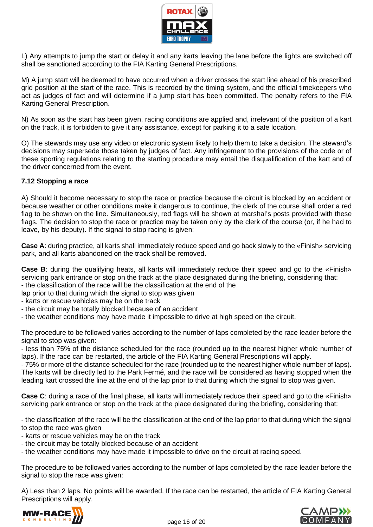

L) Any attempts to jump the start or delay it and any karts leaving the lane before the lights are switched off shall be sanctioned according to the FIA Karting General Prescriptions.

M) A jump start will be deemed to have occurred when a driver crosses the start line ahead of his prescribed grid position at the start of the race. This is recorded by the timing system, and the official timekeepers who act as judges of fact and will determine if a jump start has been committed. The penalty refers to the FIA Karting General Prescription.

N) As soon as the start has been given, racing conditions are applied and, irrelevant of the position of a kart on the track, it is forbidden to give it any assistance, except for parking it to a safe location.

O) The stewards may use any video or electronic system likely to help them to take a decision. The steward's decisions may supersede those taken by judges of fact. Any infringement to the provisions of the code or of these sporting regulations relating to the starting procedure may entail the disqualification of the kart and of the driver concerned from the event.

#### **7.12 Stopping a race**

A) Should it become necessary to stop the race or practice because the circuit is blocked by an accident or because weather or other conditions make it dangerous to continue, the clerk of the course shall order a red flag to be shown on the line. Simultaneously, red flags will be shown at marshal's posts provided with these flags. The decision to stop the race or practice may be taken only by the clerk of the course (or, if he had to leave, by his deputy). If the signal to stop racing is given:

**Case A**: during practice, all karts shall immediately reduce speed and go back slowly to the «Finish» servicing park, and all karts abandoned on the track shall be removed.

**Case B**: during the qualifying heats, all karts will immediately reduce their speed and go to the «Finish» servicing park entrance or stop on the track at the place designated during the briefing, considering that:

- the classification of the race will be the classification at the end of the

lap prior to that during which the signal to stop was given

- karts or rescue vehicles may be on the track
- the circuit may be totally blocked because of an accident
- the weather conditions may have made it impossible to drive at high speed on the circuit.

The procedure to be followed varies according to the number of laps completed by the race leader before the signal to stop was given:

- less than 75% of the distance scheduled for the race (rounded up to the nearest higher whole number of laps). If the race can be restarted, the article of the FIA Karting General Prescriptions will apply.

- 75% or more of the distance scheduled for the race (rounded up to the nearest higher whole number of laps). The karts will be directly led to the Park Fermé, and the race will be considered as having stopped when the leading kart crossed the line at the end of the lap prior to that during which the signal to stop was given.

**Case C**: during a race of the final phase, all karts will immediately reduce their speed and go to the «Finish» servicing park entrance or stop on the track at the place designated during the briefing, considering that:

- the classification of the race will be the classification at the end of the lap prior to that during which the signal to stop the race was given

- karts or rescue vehicles may be on the track

- the circuit may be totally blocked because of an accident

- the weather conditions may have made it impossible to drive on the circuit at racing speed.

The procedure to be followed varies according to the number of laps completed by the race leader before the signal to stop the race was given:

A) Less than 2 laps. No points will be awarded. If the race can be restarted, the article of FIA Karting General Prescriptions will apply.



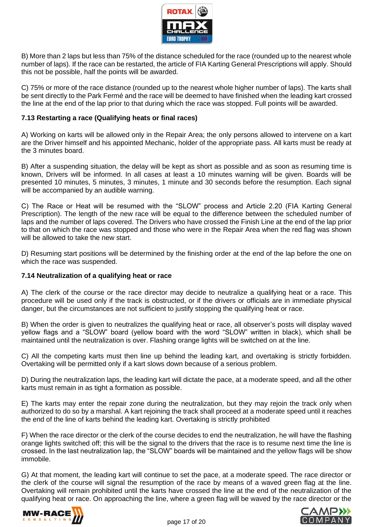

B) More than 2 laps but less than 75% of the distance scheduled for the race (rounded up to the nearest whole number of laps). If the race can be restarted, the article of FIA Karting General Prescriptions will apply. Should this not be possible, half the points will be awarded.

C) 75% or more of the race distance (rounded up to the nearest whole higher number of laps). The karts shall be sent directly to the Park Fermé and the race will be deemed to have finished when the leading kart crossed the line at the end of the lap prior to that during which the race was stopped. Full points will be awarded.

#### **7.13 Restarting a race (Qualifying heats or final races)**

A) Working on karts will be allowed only in the Repair Area; the only persons allowed to intervene on a kart are the Driver himself and his appointed Mechanic, holder of the appropriate pass. All karts must be ready at the 3 minutes board.

B) After a suspending situation, the delay will be kept as short as possible and as soon as resuming time is known, Drivers will be informed. In all cases at least a 10 minutes warning will be given. Boards will be presented 10 minutes, 5 minutes, 3 minutes, 1 minute and 30 seconds before the resumption. Each signal will be accompanied by an audible warning.

C) The Race or Heat will be resumed with the "SLOW" process and Article 2.20 (FIA Karting General Prescription). The length of the new race will be equal to the difference between the scheduled number of laps and the number of laps covered. The Drivers who have crossed the Finish Line at the end of the lap prior to that on which the race was stopped and those who were in the Repair Area when the red flag was shown will be allowed to take the new start.

D) Resuming start positions will be determined by the finishing order at the end of the lap before the one on which the race was suspended.

#### **7.14 Neutralization of a qualifying heat or race**

A) The clerk of the course or the race director may decide to neutralize a qualifying heat or a race. This procedure will be used only if the track is obstructed, or if the drivers or officials are in immediate physical danger, but the circumstances are not sufficient to justify stopping the qualifying heat or race.

B) When the order is given to neutralizes the qualifying heat or race, all observer's posts will display waved yellow flags and a "SLOW" board (yellow board with the word "SLOW" written in black), which shall be maintained until the neutralization is over. Flashing orange lights will be switched on at the line.

C) All the competing karts must then line up behind the leading kart, and overtaking is strictly forbidden. Overtaking will be permitted only if a kart slows down because of a serious problem.

D) During the neutralization laps, the leading kart will dictate the pace, at a moderate speed, and all the other karts must remain in as tight a formation as possible.

E) The karts may enter the repair zone during the neutralization, but they may rejoin the track only when authorized to do so by a marshal. A kart rejoining the track shall proceed at a moderate speed until it reaches the end of the line of karts behind the leading kart. Overtaking is strictly prohibited

F) When the race director or the clerk of the course decides to end the neutralization, he will have the flashing orange lights switched off; this will be the signal to the drivers that the race is to resume next time the line is crossed. In the last neutralization lap, the "SLOW" boards will be maintained and the yellow flags will be show immobile.

G) At that moment, the leading kart will continue to set the pace, at a moderate speed. The race director or the clerk of the course will signal the resumption of the race by means of a waved green flag at the line. Overtaking will remain prohibited until the karts have crossed the line at the end of the neutralization of the qualifying heat or race. On approaching the line, where a green flag will be waved by the race director or the



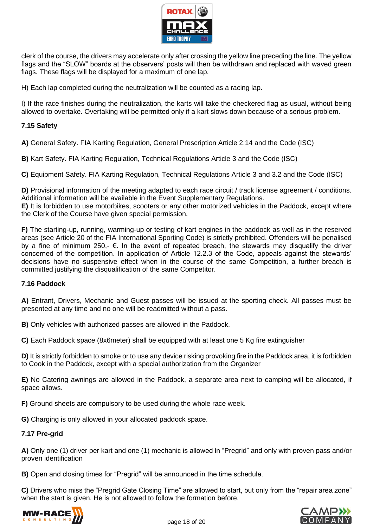

clerk of the course, the drivers may accelerate only after crossing the yellow line preceding the line. The yellow flags and the "SLOW" boards at the observers' posts will then be withdrawn and replaced with waved green flags. These flags will be displayed for a maximum of one lap.

H) Each lap completed during the neutralization will be counted as a racing lap.

I) If the race finishes during the neutralization, the karts will take the checkered flag as usual, without being allowed to overtake. Overtaking will be permitted only if a kart slows down because of a serious problem.

#### **7.15 Safety**

**A)** General Safety. FIA Karting Regulation, General Prescription Article 2.14 and the Code (ISC)

**B)** Kart Safety. FIA Karting Regulation, Technical Regulations Article 3 and the Code (ISC)

**C)** Equipment Safety. FIA Karting Regulation, Technical Regulations Article 3 and 3.2 and the Code (ISC)

**D)** Provisional information of the meeting adapted to each race circuit / track license agreement / conditions. Additional information will be available in the Event Supplementary Regulations.

**E)** It is forbidden to use motorbikes, scooters or any other motorized vehicles in the Paddock, except where the Clerk of the Course have given special permission.

**F)** The starting-up, running, warming-up or testing of kart engines in the paddock as well as in the reserved areas (see Article 20 of the FIA International Sporting Code) is strictly prohibited. Offenders will be penalised by a fine of minimum 250,- €. In the event of repeated breach, the stewards may disqualify the driver concerned of the competition. In application of Article 12.2.3 of the Code, appeals against the stewards' decisions have no suspensive effect when in the course of the same Competition, a further breach is committed justifying the disqualification of the same Competitor.

#### **7.16 Paddock**

**A)** Entrant, Drivers, Mechanic and Guest passes will be issued at the sporting check. All passes must be presented at any time and no one will be readmitted without a pass.

**B)** Only vehicles with authorized passes are allowed in the Paddock.

**C)** Each Paddock space (8x6meter) shall be equipped with at least one 5 Kg fire extinguisher

**D)** It is strictly forbidden to smoke or to use any device risking provoking fire in the Paddock area, it is forbidden to Cook in the Paddock, except with a special authorization from the Organizer

**E)** No Catering awnings are allowed in the Paddock, a separate area next to camping will be allocated, if space allows.

**F)** Ground sheets are compulsory to be used during the whole race week.

**G)** Charging is only allowed in your allocated paddock space.

#### **7.17 Pre-grid**

**A)** Only one (1) driver per kart and one (1) mechanic is allowed in "Pregrid" and only with proven pass and/or proven identification

**B)** Open and closing times for "Pregrid" will be announced in the time schedule.

**C)** Drivers who miss the "Pregrid Gate Closing Time" are allowed to start, but only from the "repair area zone" when the start is given. He is not allowed to follow the formation before.



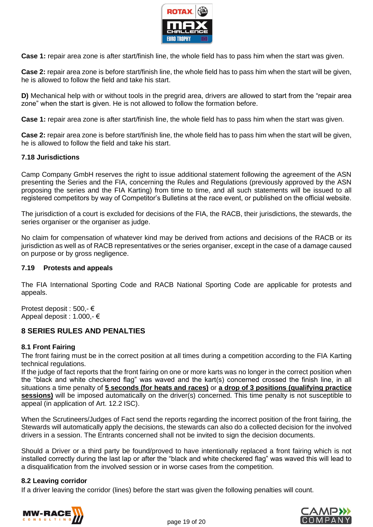

**Case 1:** repair area zone is after start/finish line, the whole field has to pass him when the start was given.

**Case 2:** repair area zone is before start/finish line, the whole field has to pass him when the start will be given, he is allowed to follow the field and take his start.

**D)** Mechanical help with or without tools in the pregrid area, drivers are allowed to start from the "repair area zone" when the start is given. He is not allowed to follow the formation before.

**Case 1:** repair area zone is after start/finish line, the whole field has to pass him when the start was given.

**Case 2:** repair area zone is before start/finish line, the whole field has to pass him when the start will be given, he is allowed to follow the field and take his start.

#### **7.18 Jurisdictions**

Camp Company GmbH reserves the right to issue additional statement following the agreement of the ASN presenting the Series and the FIA, concerning the Rules and Regulations (previously approved by the ASN proposing the series and the FIA Karting) from time to time, and all such statements will be issued to all registered competitors by way of Competitor's Bulletins at the race event, or published on the official website.

The jurisdiction of a court is excluded for decisions of the FIA, the RACB, their jurisdictions, the stewards, the series organiser or the organiser as judge.

No claim for compensation of whatever kind may be derived from actions and decisions of the RACB or its jurisdiction as well as of RACB representatives or the series organiser, except in the case of a damage caused on purpose or by gross negligence.

#### **7.19 Protests and appeals**

The FIA International Sporting Code and RACB National Sporting Code are applicable for protests and appeals.

Protest deposit : 500,- € Appeal deposit : 1.000,- €

## **8 SERIES RULES AND PENALTIES**

#### **8.1 Front Fairing**

The front fairing must be in the correct position at all times during a competition according to the FIA Karting technical regulations.

If the judge of fact reports that the front fairing on one or more karts was no longer in the correct position when the "black and white checkered flag" was waved and the kart(s) concerned crossed the finish line, in all situations a time penalty of **5 seconds (for heats and races)** or **a drop of 3 positions (qualifying practice sessions)** will be imposed automatically on the driver(s) concerned. This time penalty is not susceptible to appeal (in application of Art. 12.2 ISC).

When the Scrutineers/Judges of Fact send the reports regarding the incorrect position of the front fairing, the Stewards will automatically apply the decisions, the stewards can also do a collected decision for the involved drivers in a session. The Entrants concerned shall not be invited to sign the decision documents.

Should a Driver or a third party be found/proved to have intentionally replaced a front fairing which is not installed correctly during the last lap or after the "black and white checkered flag" was waved this will lead to a disqualification from the involved session or in worse cases from the competition.

#### **8.2 Leaving corridor**

If a driver leaving the corridor (lines) before the start was given the following penalties will count.